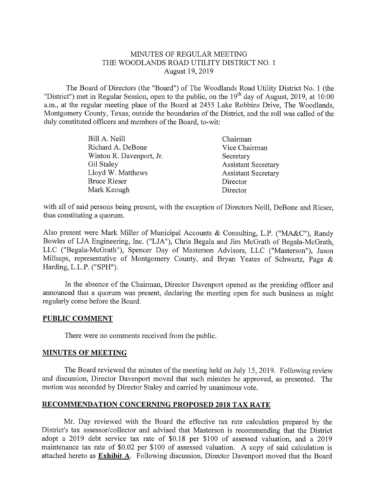## MINUTES OF REGULAR MEETING THE WOODLANDS ROAD UTILITY DISTRICT NO. <sup>1</sup> August 19, 2019

The Board of Directors (the "Board") of The Woodlands Road Utility District No. <sup>1</sup> (the "District") met in Regular Session, open to the public, on the  $19<sup>th</sup>$  day of August, 2019, at 10:00 a.m., at the regular meeting place of the Board at 2455 Lake Robbins Drive, The Woodlands, Montgomery County, Texas, outside the boundaries of the District, and the roll was called of the duly constituted officers and members of the Board, to-wit:

| Chairman                   |
|----------------------------|
| Vice Chairman              |
| Secretary                  |
| <b>Assistant Secretary</b> |
| <b>Assistant Secretary</b> |
| Director                   |
| Director                   |
|                            |

with all of said persons being present, with the exception of Directors Neill, DeBone and Rieser, thus constituting a quorum,

Also present were Mark Miller of Municipal Accounts & Consulting, L.P. ("MA&C"), Randy Bowles of LJA Engineering, Inc. ("LJA"), Chris Begala and Jim McGrath of Begala-McGrath, LLC ("Begala-McGrath"), Spencer Day of Masterson Advisors, LLC ("Masterson"), Jason Millsaps, representative of Montgomery County, and Bryan Yeates of Schwartz, Page & Harding, L.L.P, ("SPH"),

In the absence of the Chairman, Director Davenport opened as the presiding officer and announced that a quorum was present, declaring the meeting open for such business as might regularly come before the Board,

## PUBLIC COMMENT

There were no comments received from the public.

## MINUTES OF MEETING

The Board reviewed the minutes of the meeting held on July 15, 2019. Following review and discussion, Director Davenport moved that such minutes be approved, as presented, The motion was seconded by Director Staley and carried by unanimous vote.

## RECOMMENDATION CONCERNING PROPOSED 2018 TAX RATE

Mr. Day reviewed with the Board the effective tax rate calculation prepared by the District's tax assessor/collector and advised that Masterson is recommending that the District adopt a 2019 debt service tax rate of \$0.18 per \$100 of assessed valuation, and a 2019 maintenance tax rate of \$0.02 per \$100 of assessed valuation, A copy of said calculation is attached hereto as Exhibit A. Following discussion, Director Davenport moved that the Board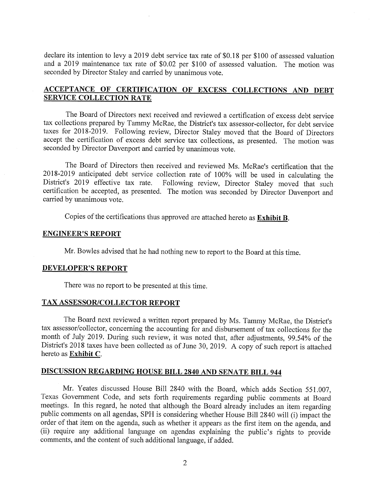declare its intention to levy a 2019 debt service tax rate of \$0.18 per \$100 of assessed valuation and a 2019 maintenance tax rate of \$0.02 per \$100 of assessed valuation. The motion was seconded by Director Staley and carried by unanimous vote.

# ACCEPTANCE OF CERTIFICATION OF EXCESS COLLECTIONS AND DEBT SERVICE COLLECTION RATE

The Board of Directors next received and reviewed a certification of excess debt service tax collections prepared by Tammy McRae, the District's tax assessor-collector, for debt service taxes for 2018-2019. Following review, Director Staley moved that the Board of Directors accept the certification of excess debt service tax collections, as presented. The motion was seconded by Director Davenport and carried by unanimous vote.

The Board of Directors then received and reviewed Ms, McRae's certification that the 2018-2019 anticipated debt service collection rate of 100% will be used in calculating the District's 2019 effective tax rate. Following review, Director Staley moved that such certification be accepted, as presented, The motion was seconded by Director Davenport and carried by unanimous vote.

Copies of the certifications thus approved are attached hereto as  $Exhibit B$ .

## ENGINEER'S REPORT

Mr, Bowles advised that he had nothing new to report to the Board at this time,

## DEVELOPER'S REPORT

There was no report to be presented at this time.

## TAX ASSESSOR/COLLECTOR REPORT

The Board next reviewed a written report prepared by Ms. Tammy McRae, the District's tax assessor/collector, concerning the accounting for and disbursement of tax collections for the month of July 2019. During such review, it was noted that, after adjustments, 99.54% of the District's 2018 taxes have been collected as of June 30, 2019. A copy of such report is attached hereto as Exhibit C,

# DISCUSSION REGARDING HOUSE BILL 2840 AND SENATE BILL 944

Mr. Yeates discussed House Bill 2840 with the Board, which adds Section 551.007, Texas Government Code, and sets forth requirements regarding public comments at Board meetings, In this regard, he noted that although the Board already includes an item regarding public comments on all agendas, SPH is considering whether House Bill 2840 will (i) impact the order of that item on the agenda, such as whether it appears as the first item on the agenda, and (ii) require any additional language on agendas explaining the public's rights to provide comments, and the content of such additional language, if added.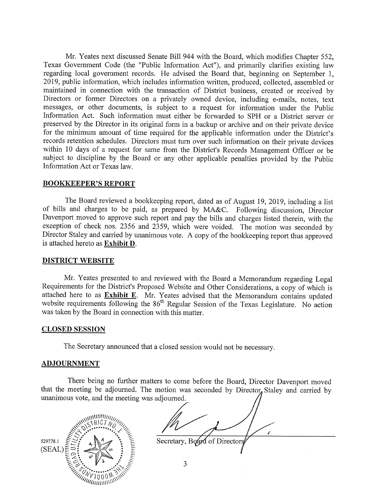Mr. Yeates next discussed Senate Bill 944 with the Board, which modifies Chapter 552, Texas Government Code (the "Public Information Act"), and primarily clarifies existing law regarding local government records. He advised the Board that, beginning on September 1, 2019, public information, which includes information written, produced, collected, assembled or maintained in connection with the transaction of District business, created or received by Directors or former Directors on a privately owned device, including e-mails, notes, text messages, or other documents, is subject to a request for information under the Public Information Act. Such information must either be forwarded to SPH or a District server or preserved by the Director in its original form in a backup or archive and on their private device for the minimum amount of time required for the applicable information under the District's records retention schedules, Directors must turn over such information on their private devices within 10 days of a request for same from the District's Records Management Officer or be subject to discipline by the Board or any other applicable penalties provided by the Public Information Act or Texas law,

### BOOKKEEPER'S REPORT

The Board reviewed a bookkeeping report, dated as of August 19, 2019, including a list of bills and charges to be paid, as prepared by MA&C. Following discussion, Director Davenport moved to approve such report and pay the bills and charges listed therein, with the exception of check nos. 2356 and 2359, which were voided. The motion was seconded by Director Staley and carried by unanimous vote. A copy of the bookkeeping report thus approved is attached hereto as Exhibit D.

## DISTRICT WEBSITE

Mr. Yeates presented to and reviewed with the Board a Memorandum regarding Legal Requirements for the District's Proposed Website and Other Considerations, a copy of which is attached here to as **Exhibit E**. Mr. Yeates advised that the Memorandum contains updated website requirements following the 86<sup>th</sup> Regular Session of the Texas Legislature. No action was taken by the Board in connection with this matter.

#### CLOSED SESSION

The Secretary announced that a closed session would not be necessary.

#### **ADJOURNMENT**

There being no further matters to come before the Board, Director Davenport moved that the meeting be adjourned. The motion was seconded by Director, Staley and carried by unanimous vote, and the meeting was adj



Secretary, Board of Directors